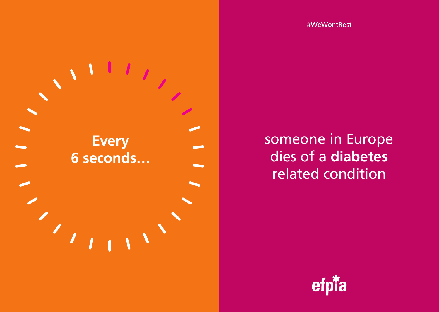#WeWontRest



someone in Europe dies of a **diabetes** related condition

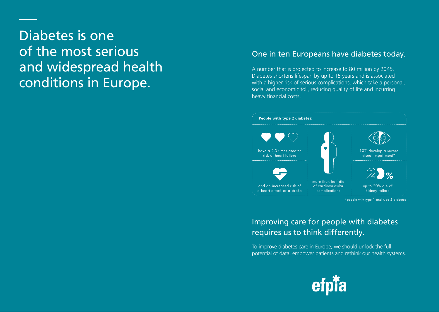# Diabetes is one of the most serious and widespread health conditions in Europe.

## One in ten Europeans have diabetes today.

A number that is projected to increase to 80 million by 2045. Diabetes shortens lifespan by up to 15 years and is associated with a higher risk of serious complications, which take a personal, social and economic toll, reducing quality of life and incurring heavy financial costs.



# Improving care for people with diabetes requires us to think differently.

To improve diabetes care in Europe, we should unlock the full potential of data, empower patients and rethink our health systems.

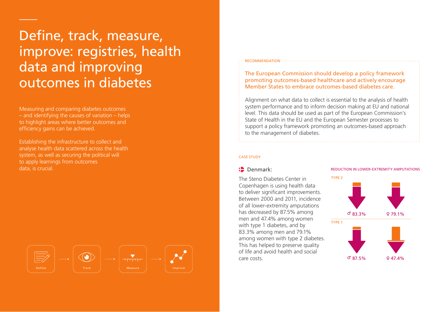# Define, track, measure, improve: registries, health data and improving outcomes in diabetes

Measuring and comparing diabetes outcomes – and identifying the causes of variation – helps to highlight areas where better outcomes and efficiency gains can be achieved.

Establishing the infrastructure to collect and analyse health data scattered across the health system, as well as securing the political will to apply learnings from outcomes data, is crucial.



#### RECOMMENDATION

The European Commission should develop a policy framework promoting outcomes-based healthcare and actively encourage Member States to embrace outcomes-based diabetes care.

Alignment on what data to collect is essential to the analysis of health system performance and to inform decision making at EU and national level. This data should be used as part of the European Commission's State of Health in the EU and the European Semester processes to support a policy framework promoting an outcomes-based approach to the management of diabetes.

#### CASE STUDY

### Denmark:

The Steno Diabetes Center in Copenhagen is using health data to deliver significant improvements. Between 2000 and 2011, incidence of all lower-extremity amputations has decreased by 87.5% among men and 47.4% among women with type 1 diabetes, and by 83.3% among men and 79.1% among women with type 2 diabetes. This has helped to preserve quality of life and avoid health and social care costs.

#### REDUCTION IN LOWER-EXTREMITY AMPUTATIONS

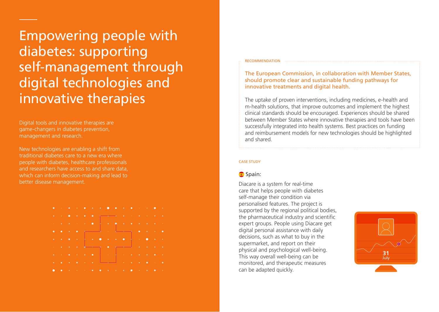Empowering people with diabetes: supporting self-management through digital technologies and innovative therapies

Digital tools and innovative therapies are game-changers in diabetes prevention, management and research.

New technologies are enabling a shift from traditional diabetes care to a new era where people with diabetes, healthcare professionals and researchers have access to and share data, which can inform decision-making and lead to better disease management.



#### RECOMMENDATION

The European Commission, in collaboration with Member States, should promote clear and sustainable funding pathways for innovative treatments and digital health.

m-health solutions, that improve outcomes and implement the highest clinical standards should be encouraged. Experiences should be shared 47.45% The uptake of proven interventions, including medicines, e-health and between Member States where innovative therapies and tools have been successfully integrated into health systems. Best practices on funding and reimbursement models for new technologies should be highlighted and shared.

#### CASE STUDY

### Spain:

Diacare is a system for real-time care that helps people with diabetes self-manage their condition via personalised features. The project is supported by the regional political bodies, the pharmaceutical industry and scientific expert groups. People using Diacare get digital personal assistance with daily decisions, such as what to buy in the supermarket, and report on their physical and psychological well-being. This way overall well-being can be monitored, and therapeutic measures can be adapted quickly.

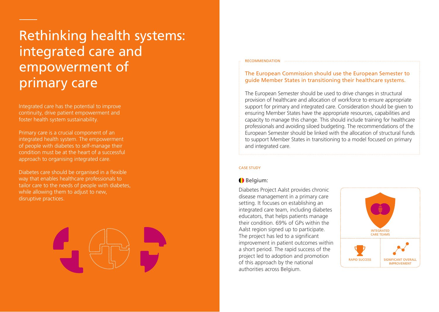# Rethinking health systems: integrated care and empowerment of primary care

Integrated care has the potential to improve continuity, drive patient empowerment and foster health system sustainability.

Primary care is a crucial component of an integrated health system. The empowerment of people with diabetes to self-manage their condition must be at the heart of a successful approach to organising integrated care.

Diabetes care should be organised in a flexible way that enables healthcare professionals to tailor care to the needs of people with diabetes, while allowing them to adjust to new. disruptive practices.

#### RECOMMENDATION

### The European Commission should use the European Semester to guide Member States in transitioning their healthcare systems.

The European Semester should be used to drive changes in structural provision of healthcare and allocation of workforce to ensure appropriate support for primary and integrated care. Consideration should be given to ensuring Member States have the appropriate resources, capabilities and capacity to manage this change. This should include training for healthcare professionals and avoiding siloed budgeting. The recommendations of the European Semester should be linked with the allocation of structural funds to support Member States in transitioning to a model focused on primary and integrated care.

#### CASE STUDY

## Belgium:

Diabetes Project Aalst provides chronic disease management in a primary care setting. It focuses on establishing an integrated care team, including diabetes educators, that helps patients manage their condition. 69% of GPs within the Aalst region signed up to participate. The project has led to a significant improvement in patient outcomes within a short period. The rapid success of the project led to adoption and promotion of this approach by the national authorities across Belgium.